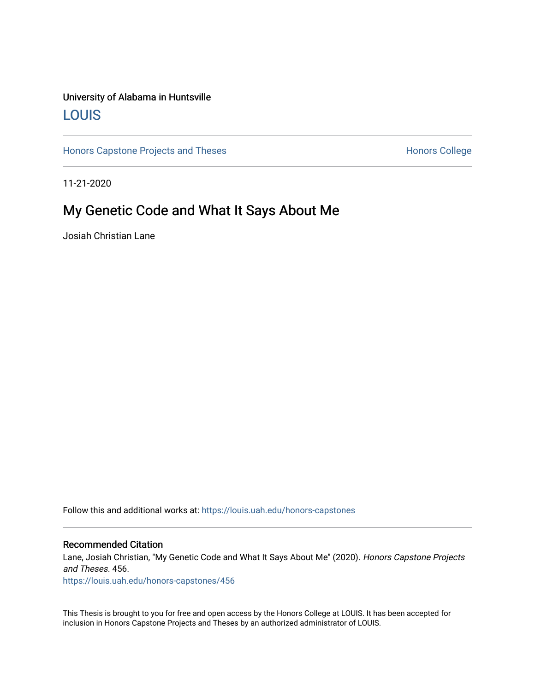## University of Alabama in Huntsville [LOUIS](https://louis.uah.edu/)

[Honors Capstone Projects and Theses](https://louis.uah.edu/honors-capstones) **Honors College** Honors College

11-21-2020

# My Genetic Code and What It Says About Me

Josiah Christian Lane

Follow this and additional works at: [https://louis.uah.edu/honors-capstones](https://louis.uah.edu/honors-capstones?utm_source=louis.uah.edu%2Fhonors-capstones%2F456&utm_medium=PDF&utm_campaign=PDFCoverPages) 

#### Recommended Citation

Lane, Josiah Christian, "My Genetic Code and What It Says About Me" (2020). Honors Capstone Projects and Theses. 456.

[https://louis.uah.edu/honors-capstones/456](https://louis.uah.edu/honors-capstones/456?utm_source=louis.uah.edu%2Fhonors-capstones%2F456&utm_medium=PDF&utm_campaign=PDFCoverPages) 

This Thesis is brought to you for free and open access by the Honors College at LOUIS. It has been accepted for inclusion in Honors Capstone Projects and Theses by an authorized administrator of LOUIS.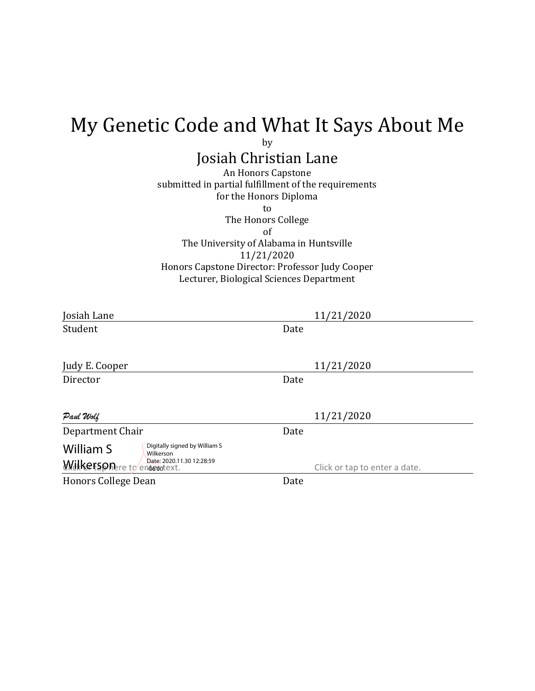# My Genetic Code and What It Says About Me

by

# Josiah Christian Lane

An Honors Capstone submitted in partial fulfillment of the requirements for the Honors Diploma to

The Honors College of The University of Alabama in Huntsville 11/21/2020 Honors Capstone Director: Professor Judy Cooper Lecturer, Biological Sciences Department

| Josiah Lane                                              | 11/21/2020                    |
|----------------------------------------------------------|-------------------------------|
| Student                                                  | Date                          |
|                                                          |                               |
| Judy E. Cooper                                           | 11/21/2020                    |
| Director                                                 | Date                          |
|                                                          |                               |
| Paul Wolf                                                | 11/21/2020                    |
| Department Chair                                         | Date                          |
| Digitally signed by William S<br>William S<br>Wilkerson  |                               |
| Date: 2020.11.30 12:28:59<br>Wilkersonere to endergress! | Click or tap to enter a date. |
| <b>Honors College Dean</b>                               | Date                          |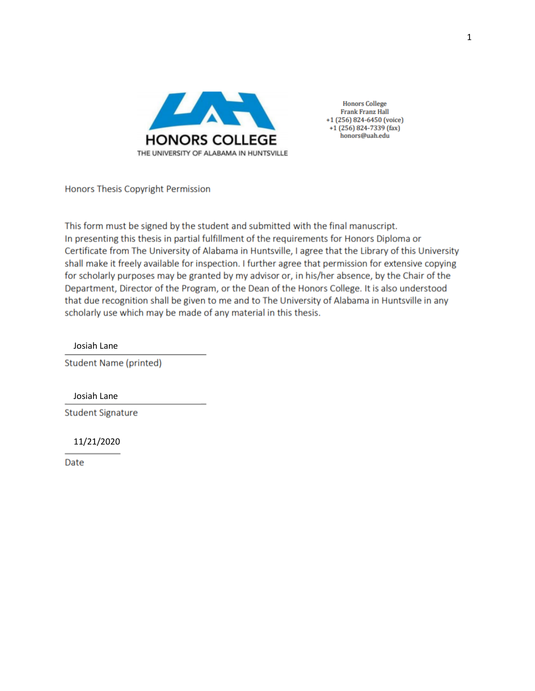

**Honors College Frank Franz Hall** +1 (256) 824-6450 (voice) +1 (256) 824-7339 (fax) honors@uah.edu

Honors Thesis Copyright Permission

This form must be signed by the student and submitted with the final manuscript. In presenting this thesis in partial fulfillment of the requirements for Honors Diploma or Certificate from The University of Alabama in Huntsville, I agree that the Library of this University shall make it freely available for inspection. I further agree that permission for extensive copying for scholarly purposes may be granted by my advisor or, in his/her absence, by the Chair of the Department, Director of the Program, or the Dean of the Honors College. It is also understood that due recognition shall be given to me and to The University of Alabama in Huntsville in any scholarly use which may be made of any material in this thesis.

Josiah Lane

**Student Name (printed)** 

Josiah Lane

**Student Signature** 

11/21/2020

Date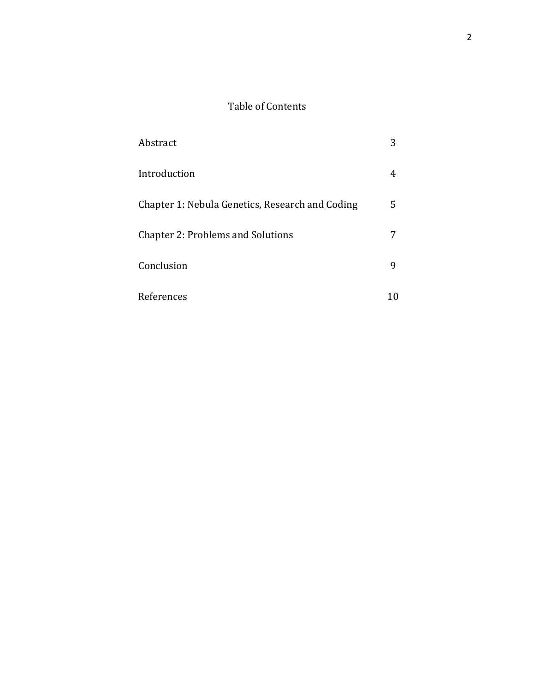## Table of Contents

| Abstract                                        | 3 |
|-------------------------------------------------|---|
| Introduction                                    |   |
| Chapter 1: Nebula Genetics, Research and Coding | 5 |
| <b>Chapter 2: Problems and Solutions</b>        |   |
| Conclusion                                      | ч |
| References                                      |   |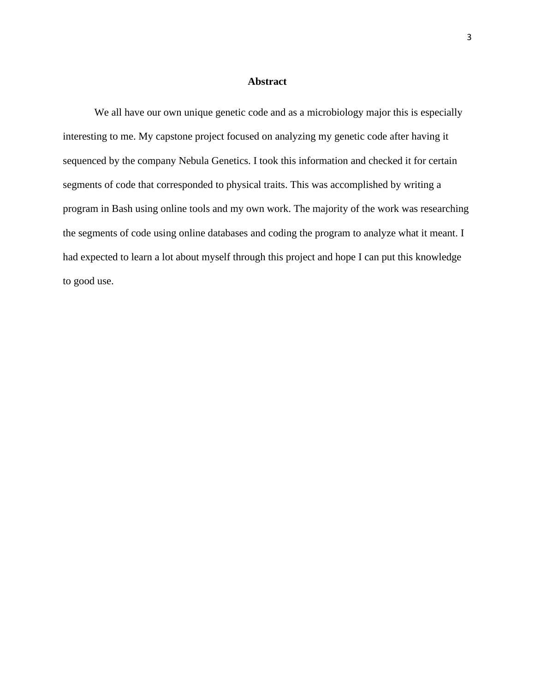#### **Abstract**

We all have our own unique genetic code and as a microbiology major this is especially interesting to me. My capstone project focused on analyzing my genetic code after having it sequenced by the company Nebula Genetics. I took this information and checked it for certain segments of code that corresponded to physical traits. This was accomplished by writing a program in Bash using online tools and my own work. The majority of the work was researching the segments of code using online databases and coding the program to analyze what it meant. I had expected to learn a lot about myself through this project and hope I can put this knowledge to good use.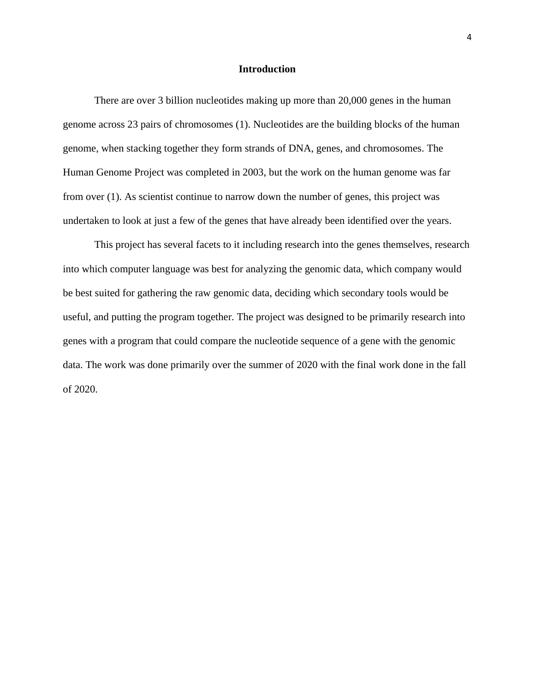#### **Introduction**

There are over 3 billion nucleotides making up more than 20,000 genes in the human genome across 23 pairs of chromosomes (1). Nucleotides are the building blocks of the human genome, when stacking together they form strands of DNA, genes, and chromosomes. The Human Genome Project was completed in 2003, but the work on the human genome was far from over (1). As scientist continue to narrow down the number of genes, this project was undertaken to look at just a few of the genes that have already been identified over the years.

This project has several facets to it including research into the genes themselves, research into which computer language was best for analyzing the genomic data, which company would be best suited for gathering the raw genomic data, deciding which secondary tools would be useful, and putting the program together. The project was designed to be primarily research into genes with a program that could compare the nucleotide sequence of a gene with the genomic data. The work was done primarily over the summer of 2020 with the final work done in the fall of 2020.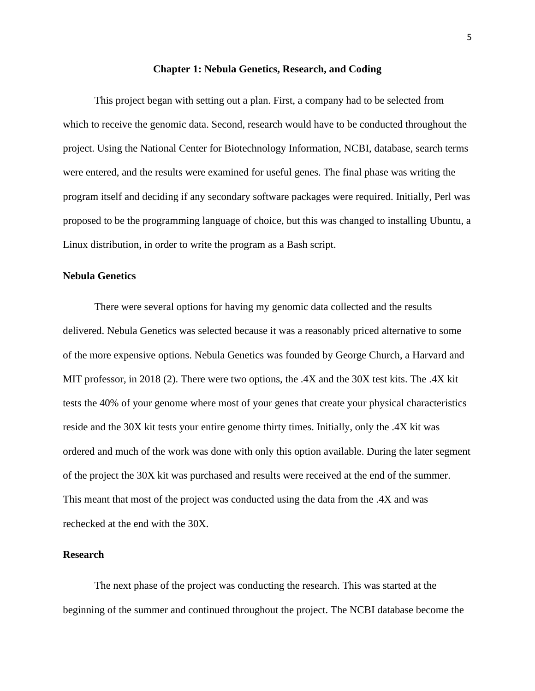#### **Chapter 1: Nebula Genetics, Research, and Coding**

This project began with setting out a plan. First, a company had to be selected from which to receive the genomic data. Second, research would have to be conducted throughout the project. Using the National Center for Biotechnology Information, NCBI, database, search terms were entered, and the results were examined for useful genes. The final phase was writing the program itself and deciding if any secondary software packages were required. Initially, Perl was proposed to be the programming language of choice, but this was changed to installing Ubuntu, a Linux distribution, in order to write the program as a Bash script.

#### **Nebula Genetics**

There were several options for having my genomic data collected and the results delivered. Nebula Genetics was selected because it was a reasonably priced alternative to some of the more expensive options. Nebula Genetics was founded by George Church, a Harvard and MIT professor, in 2018 (2). There were two options, the .4X and the 30X test kits. The .4X kit tests the 40% of your genome where most of your genes that create your physical characteristics reside and the 30X kit tests your entire genome thirty times. Initially, only the .4X kit was ordered and much of the work was done with only this option available. During the later segment of the project the 30X kit was purchased and results were received at the end of the summer. This meant that most of the project was conducted using the data from the .4X and was rechecked at the end with the 30X.

#### **Research**

The next phase of the project was conducting the research. This was started at the beginning of the summer and continued throughout the project. The NCBI database become the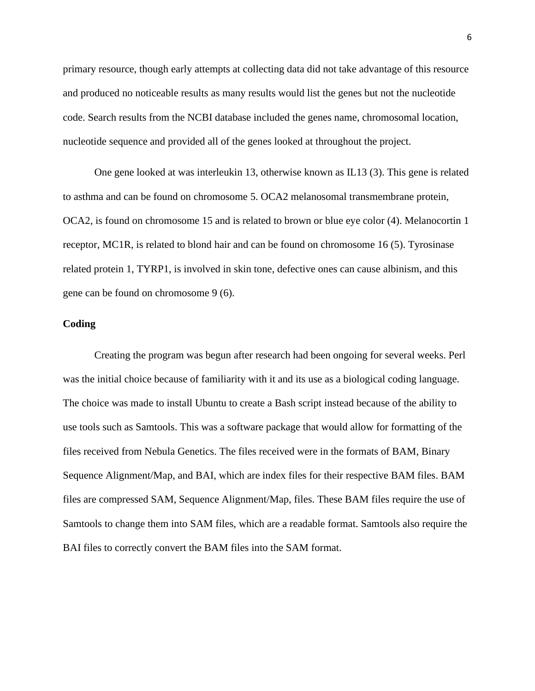primary resource, though early attempts at collecting data did not take advantage of this resource and produced no noticeable results as many results would list the genes but not the nucleotide code. Search results from the NCBI database included the genes name, chromosomal location, nucleotide sequence and provided all of the genes looked at throughout the project.

One gene looked at was interleukin 13, otherwise known as IL13 (3). This gene is related to asthma and can be found on chromosome 5. OCA2 melanosomal transmembrane protein, OCA2, is found on chromosome 15 and is related to brown or blue eye color (4). Melanocortin 1 receptor, MC1R, is related to blond hair and can be found on chromosome 16 (5). Tyrosinase related protein 1, TYRP1, is involved in skin tone, defective ones can cause albinism, and this gene can be found on chromosome 9 (6).

#### **Coding**

Creating the program was begun after research had been ongoing for several weeks. Perl was the initial choice because of familiarity with it and its use as a biological coding language. The choice was made to install Ubuntu to create a Bash script instead because of the ability to use tools such as Samtools. This was a software package that would allow for formatting of the files received from Nebula Genetics. The files received were in the formats of BAM, Binary Sequence Alignment/Map, and BAI, which are index files for their respective BAM files. BAM files are compressed SAM, Sequence Alignment/Map, files. These BAM files require the use of Samtools to change them into SAM files, which are a readable format. Samtools also require the BAI files to correctly convert the BAM files into the SAM format.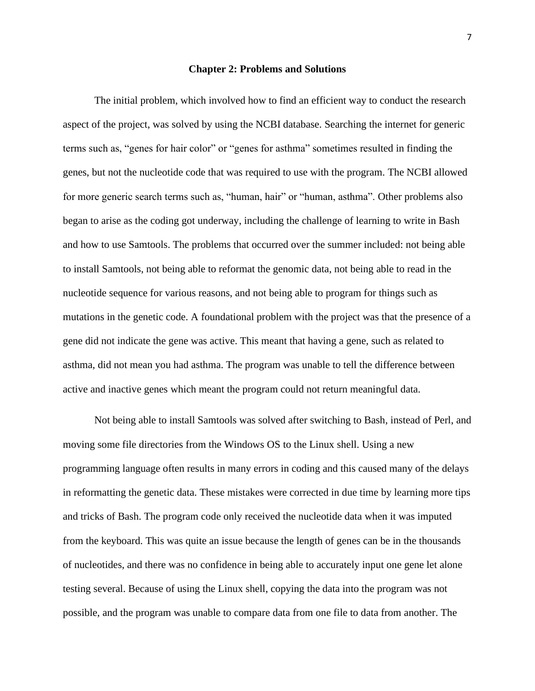#### **Chapter 2: Problems and Solutions**

The initial problem, which involved how to find an efficient way to conduct the research aspect of the project, was solved by using the NCBI database. Searching the internet for generic terms such as, "genes for hair color" or "genes for asthma" sometimes resulted in finding the genes, but not the nucleotide code that was required to use with the program. The NCBI allowed for more generic search terms such as, "human, hair" or "human, asthma". Other problems also began to arise as the coding got underway, including the challenge of learning to write in Bash and how to use Samtools. The problems that occurred over the summer included: not being able to install Samtools, not being able to reformat the genomic data, not being able to read in the nucleotide sequence for various reasons, and not being able to program for things such as mutations in the genetic code. A foundational problem with the project was that the presence of a gene did not indicate the gene was active. This meant that having a gene, such as related to asthma, did not mean you had asthma. The program was unable to tell the difference between active and inactive genes which meant the program could not return meaningful data.

Not being able to install Samtools was solved after switching to Bash, instead of Perl, and moving some file directories from the Windows OS to the Linux shell. Using a new programming language often results in many errors in coding and this caused many of the delays in reformatting the genetic data. These mistakes were corrected in due time by learning more tips and tricks of Bash. The program code only received the nucleotide data when it was imputed from the keyboard. This was quite an issue because the length of genes can be in the thousands of nucleotides, and there was no confidence in being able to accurately input one gene let alone testing several. Because of using the Linux shell, copying the data into the program was not possible, and the program was unable to compare data from one file to data from another. The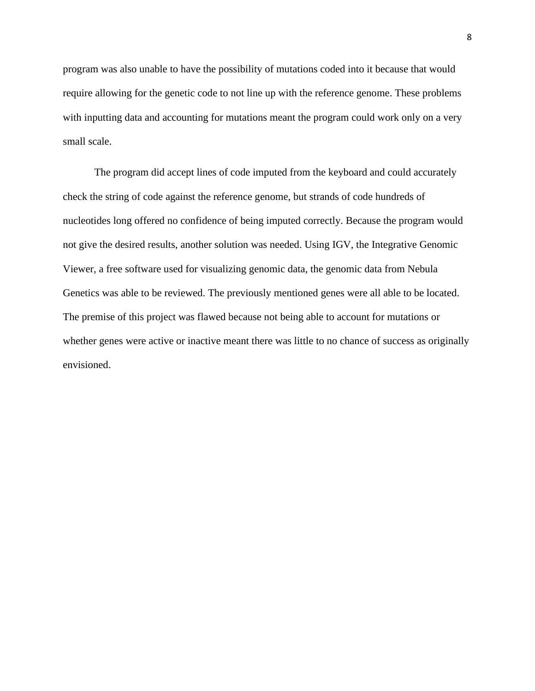program was also unable to have the possibility of mutations coded into it because that would require allowing for the genetic code to not line up with the reference genome. These problems with inputting data and accounting for mutations meant the program could work only on a very small scale.

The program did accept lines of code imputed from the keyboard and could accurately check the string of code against the reference genome, but strands of code hundreds of nucleotides long offered no confidence of being imputed correctly. Because the program would not give the desired results, another solution was needed. Using IGV, the Integrative Genomic Viewer, a free software used for visualizing genomic data, the genomic data from Nebula Genetics was able to be reviewed. The previously mentioned genes were all able to be located. The premise of this project was flawed because not being able to account for mutations or whether genes were active or inactive meant there was little to no chance of success as originally envisioned.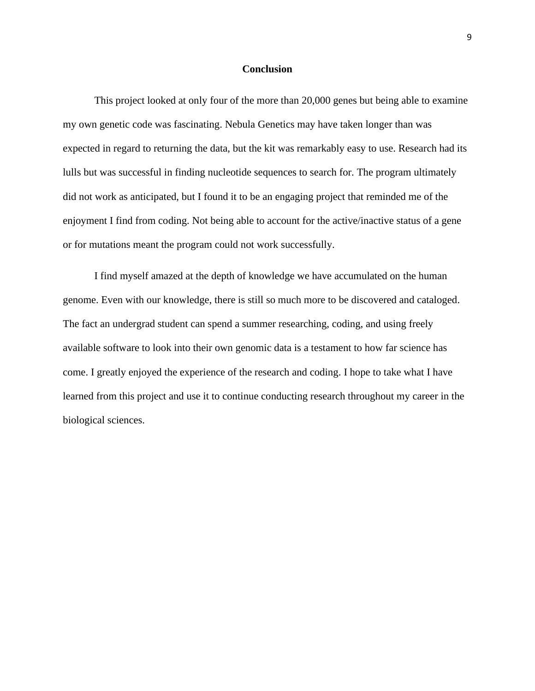#### **Conclusion**

This project looked at only four of the more than 20,000 genes but being able to examine my own genetic code was fascinating. Nebula Genetics may have taken longer than was expected in regard to returning the data, but the kit was remarkably easy to use. Research had its lulls but was successful in finding nucleotide sequences to search for. The program ultimately did not work as anticipated, but I found it to be an engaging project that reminded me of the enjoyment I find from coding. Not being able to account for the active/inactive status of a gene or for mutations meant the program could not work successfully.

I find myself amazed at the depth of knowledge we have accumulated on the human genome. Even with our knowledge, there is still so much more to be discovered and cataloged. The fact an undergrad student can spend a summer researching, coding, and using freely available software to look into their own genomic data is a testament to how far science has come. I greatly enjoyed the experience of the research and coding. I hope to take what I have learned from this project and use it to continue conducting research throughout my career in the biological sciences.